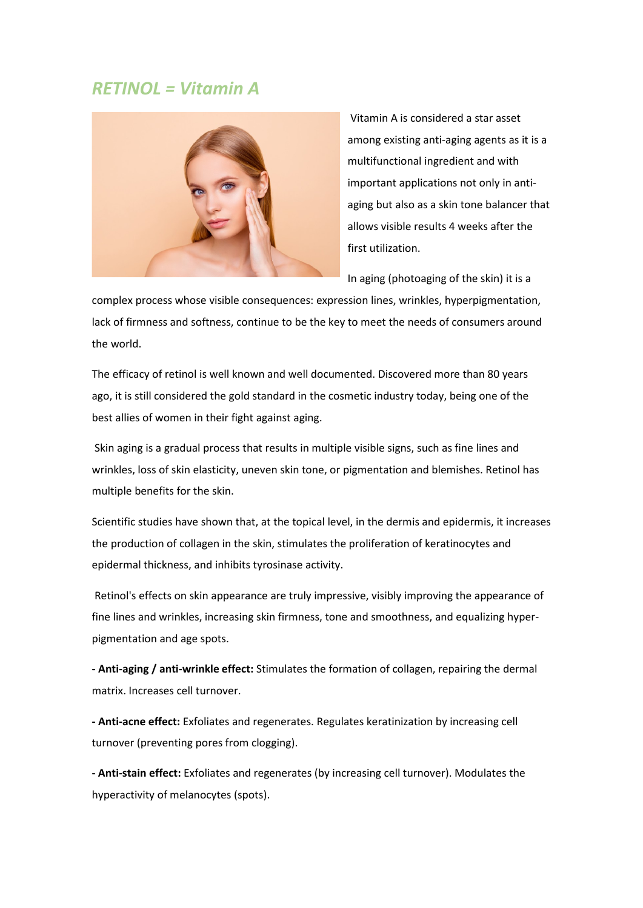# *RETINOL = Vitamin A*



Vitamin A is considered a star asset among existing anti-aging agents as it is a multifunctional ingredient and with important applications not only in antiaging but also as a skin tone balancer that allows visible results 4 weeks after the first utilization.

In aging (photoaging of the skin) it is a

complex process whose visible consequences: expression lines, wrinkles, hyperpigmentation, lack of firmness and softness, continue to be the key to meet the needs of consumers around the world.

The efficacy of retinol is well known and well documented. Discovered more than 80 years ago, it is still considered the gold standard in the cosmetic industry today, being one of the best allies of women in their fight against aging.

Skin aging is a gradual process that results in multiple visible signs, such as fine lines and wrinkles, loss of skin elasticity, uneven skin tone, or pigmentation and blemishes. Retinol has multiple benefits for the skin.

Scientific studies have shown that, at the topical level, in the dermis and epidermis, it increases the production of collagen in the skin, stimulates the proliferation of keratinocytes and epidermal thickness, and inhibits tyrosinase activity.

Retinol's effects on skin appearance are truly impressive, visibly improving the appearance of fine lines and wrinkles, increasing skin firmness, tone and smoothness, and equalizing hyperpigmentation and age spots.

**- Anti-aging / anti-wrinkle effect:** Stimulates the formation of collagen, repairing the dermal matrix. Increases cell turnover.

**- Anti-acne effect:** Exfoliates and regenerates. Regulates keratinization by increasing cell turnover (preventing pores from clogging).

**- Anti-stain effect:** Exfoliates and regenerates (by increasing cell turnover). Modulates the hyperactivity of melanocytes (spots).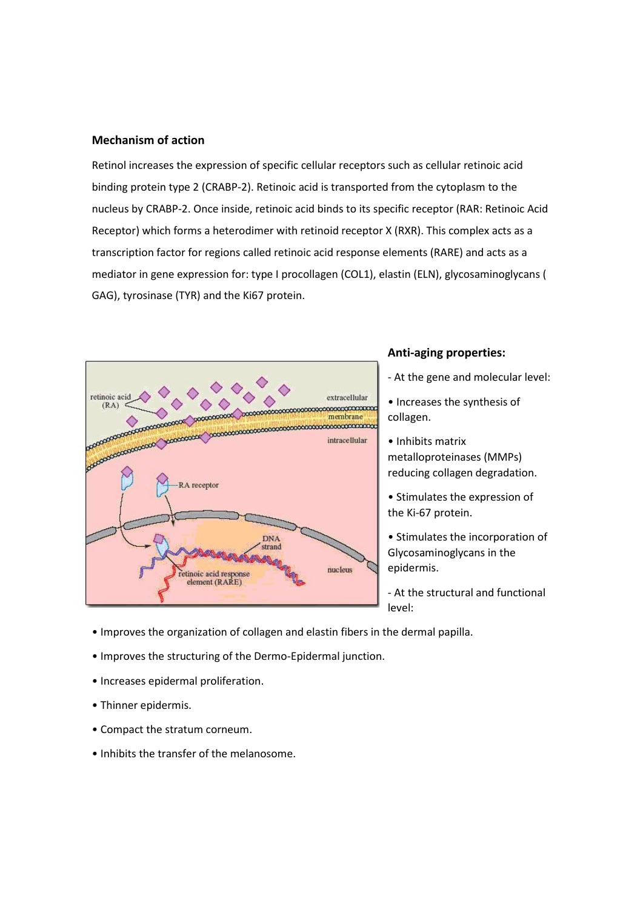#### **Mechanism of action**

Retinol increases the expression of specific cellular receptors such as cellular retinoic acid binding protein type 2 (CRABP-2). Retinoic acid is transported from the cytoplasm to the nucleus by CRABP-2. Once inside, retinoic acid binds to its specific receptor (RAR: Retinoic Acid Receptor) which forms a heterodimer with retinoid receptor X (RXR). This complex acts as a transcription factor for regions called retinoic acid response elements (RARE) and acts as a mediator in gene expression for: type I procollagen (COL1), elastin (ELN), glycosaminoglycans ( GAG), tyrosinase (TYR) and the Ki67 protein.



#### **Anti-aging properties:**

- At the gene and molecular level:

• Increases the synthesis of collagen.

• Inhibits matrix metalloproteinases (MMPs) reducing collagen degradation.

• Stimulates the expression of the Ki-67 protein.

• Stimulates the incorporation of Glycosaminoglycans in the epidermis.

- At the structural and functional level:

- Improves the organization of collagen and elastin fibers in the dermal papilla.
- Improves the structuring of the Dermo-Epidermal junction.
- Increases epidermal proliferation.
- Thinner epidermis.
- Compact the stratum corneum.
- Inhibits the transfer of the melanosome.